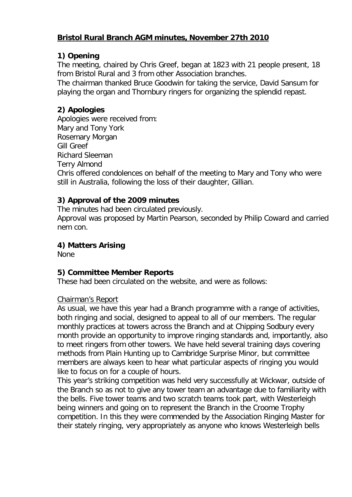## **Bristol Rural Branch AGM minutes, November 27th 2010**

## **1) Opening**

The meeting, chaired by Chris Greef, began at 1823 with 21 people present, 18 from Bristol Rural and 3 from other Association branches.

The chairman thanked Bruce Goodwin for taking the service, David Sansum for playing the organ and Thornbury ringers for organizing the splendid repast.

# **2) Apologies**

Apologies were received from: Mary and Tony York Rosemary Morgan Gill Greef Richard Sleeman Terry Almond Chris offered condolences on behalf of the meeting to Mary and Tony who were still in Australia, following the loss of their daughter, Gillian.

## **3) Approval of the 2009 minutes**

The minutes had been circulated previously.

Approval was proposed by Martin Pearson, seconded by Philip Coward and carried nem con.

## **4) Matters Arising**

None

### **5) Committee Member Reports**

These had been circulated on the website, and were as follows:

### Chairman's Report

As usual, we have this year had a Branch programme with a range of activities, both ringing and social, designed to appeal to all of our members. The regular monthly practices at towers across the Branch and at Chipping Sodbury every month provide an opportunity to improve ringing standards and, importantly, also to meet ringers from other towers. We have held several training days covering methods from Plain Hunting up to Cambridge Surprise Minor, but committee members are always keen to hear what particular aspects of ringing you would like to focus on for a couple of hours.

This year's striking competition was held very successfully at Wickwar, outside of the Branch so as not to give any tower team an advantage due to familiarity with the bells. Five tower teams and two scratch teams took part, with Westerleigh being winners and going on to represent the Branch in the Croome Trophy competition. In this they were commended by the Association Ringing Master for their stately ringing, very appropriately as anyone who knows Westerleigh bells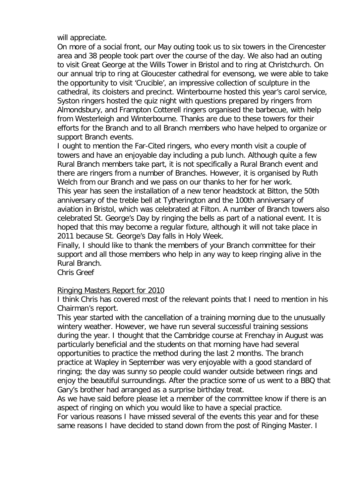will appreciate.

On more of a social front, our May outing took us to six towers in the Cirencester area and 38 people took part over the course of the day. We also had an outing to visit Great George at the Wills Tower in Bristol and to ring at Christchurch. On our annual trip to ring at Gloucester cathedral for evensong, we were able to take the opportunity to visit 'Crucible', an impressive collection of sculpture in the cathedral, its cloisters and precinct. Winterbourne hosted this year's carol service, Syston ringers hosted the quiz night with questions prepared by ringers from Almondsbury, and Frampton Cotterell ringers organised the barbecue, with help from Westerleigh and Winterbourne. Thanks are due to these towers for their efforts for the Branch and to all Branch members who have helped to organize or support Branch events.

I ought to mention the Far-Cited ringers, who every month visit a couple of towers and have an enjoyable day including a pub lunch. Although quite a few Rural Branch members take part, it is not specifically a Rural Branch event and there are ringers from a number of Branches. However, it is organised by Ruth Welch from our Branch and we pass on our thanks to her for her work.

This year has seen the installation of a new tenor headstock at Bitton, the 50th anniversary of the treble bell at Tytherington and the 100th anniversary of aviation in Bristol, which was celebrated at Filton. A number of Branch towers also celebrated St. George's Day by ringing the bells as part of a national event. It is hoped that this may become a regular fixture, although it will not take place in 2011 because St. George's Day falls in Holy Week.

Finally, I should like to thank the members of your Branch committee for their support and all those members who help in any way to keep ringing alive in the Rural Branch.

Chris Greef

#### Ringing Masters Report for 2010

I think Chris has covered most of the relevant points that I need to mention in his Chairman's report.

This year started with the cancellation of a training morning due to the unusually wintery weather. However, we have run several successful training sessions during the year. I thought that the Cambridge course at Frenchay in August was particularly beneficial and the students on that morning have had several opportunities to practice the method during the last 2 months. The branch practice at Wapley in September was very enjoyable with a good standard of ringing; the day was sunny so people could wander outside between rings and enjoy the beautiful surroundings. After the practice some of us went to a BBQ that Gary's brother had arranged as a surprise birthday treat.

As we have said before please let a member of the committee know if there is an aspect of ringing on which you would like to have a special practice.

For various reasons I have missed several of the events this year and for these same reasons I have decided to stand down from the post of Ringing Master. I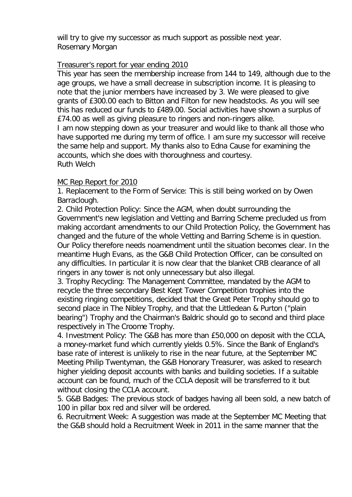will try to give my successor as much support as possible next year. Rosemary Morgan

### Treasurer's report for year ending 2010

This year has seen the membership increase from 144 to 149, although due to the age groups, we have a small decrease in subscription income. It is pleasing to note that the junior members have increased by 3. We were pleased to give grants of £300.00 each to Bitton and Filton for new headstocks. As you will see this has reduced our funds to £489.00. Social activities have shown a surplus of £74.00 as well as giving pleasure to ringers and non-ringers alike.

I am now stepping down as your treasurer and would like to thank all those who have supported me during my term of office. I am sure my successor will receive the same help and support. My thanks also to Edna Cause for examining the accounts, which she does with thoroughness and courtesy. Ruth Welch

### MC Rep Report for 2010

1. Replacement to the Form of Service: This is still being worked on by Owen Barraclough.

2. Child Protection Policy: Since the AGM, when doubt surrounding the Government's new legislation and Vetting and Barring Scheme precluded us from making accordant amendments to our Child Protection Policy, the Government has changed and the future of the whole Vetting and Barring Scheme is in question. Our Policy therefore needs noamendment until the situation becomes clear. In the meantime Hugh Evans, as the G&B Child Protection Officer, can be consulted on any difficulties. In particular it is now clear that the blanket CRB clearance of all ringers in any tower is not only unnecessary but also illegal.

3. Trophy Recycling: The Management Committee, mandated by the AGM to recycle the three secondary Best Kept Tower Competition trophies into the existing ringing competitions, decided that the Great Peter Trophy should go to second place in The Nibley Trophy, and that the Littledean & Purton ("plain bearing") Trophy and the Chairman's Baldric should go to second and third place respectively in The Croome Trophy.

4. Investment Policy: The G&B has more than £50,000 on deposit with the CCLA, a money-market fund which currently yields 0.5%. Since the Bank of England's base rate of interest is unlikely to rise in the near future, at the September MC Meeting Philip Twentyman, the G&B Honorary Treasurer, was asked to research higher yielding deposit accounts with banks and building societies. If a suitable account can be found, much of the CCLA deposit will be transferred to it but without closing the CCLA account.

5. G&B Badges: The previous stock of badges having all been sold, a new batch of 100 in pillar box red and silver will be ordered.

6. Recruitment Week: A suggestion was made at the September MC Meeting that the G&B should hold a Recruitment Week in 2011 in the same manner that the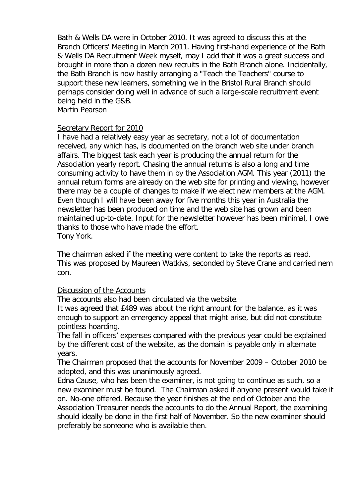Bath & Wells DA were in October 2010. It was agreed to discuss this at the Branch Officers' Meeting in March 2011. Having first-hand experience of the Bath & Wells DA Recruitment Week myself, may I add that it was a great success and brought in more than a dozen new recruits in the Bath Branch alone. Incidentally, the Bath Branch is now hastily arranging a "Teach the Teachers" course to support these new learners, something we in the Bristol Rural Branch should perhaps consider doing well in advance of such a large-scale recruitment event being held in the G&B.

Martin Pearson

#### Secretary Report for 2010

I have had a relatively easy year as secretary, not a lot of documentation received, any which has, is documented on the branch web site under branch affairs. The biggest task each year is producing the annual return for the Association yearly report. Chasing the annual returns is also a long and time consuming activity to have them in by the Association AGM. This year (2011) the annual return forms are already on the web site for printing and viewing, however there may be a couple of changes to make if we elect new members at the AGM. Even though I will have been away for five months this year in Australia the newsletter has been produced on time and the web site has grown and been maintained up-to-date. Input for the newsletter however has been minimal, I owe thanks to those who have made the effort. Tony York.

The chairman asked if the meeting were content to take the reports as read. This was proposed by Maureen Watkivs, seconded by Steve Crane and carried nem con.

#### Discussion of the Accounts

The accounts also had been circulated via the website.

It was agreed that £489 was about the right amount for the balance, as it was enough to support an emergency appeal that might arise, but did not constitute pointless hoarding.

The fall in officers' expenses compared with the previous year could be explained by the different cost of the website, as the domain is payable only in alternate years.

The Chairman proposed that the accounts for November 2009 – October 2010 be adopted, and this was unanimously agreed.

Edna Cause, who has been the examiner, is not going to continue as such, so a new examiner must be found. The Chairman asked if anyone present would take it on. No-one offered. Because the year finishes at the end of October and the Association Treasurer needs the accounts to do the Annual Report, the examining should ideally be done in the first half of November. So the new examiner should preferably be someone who is available then.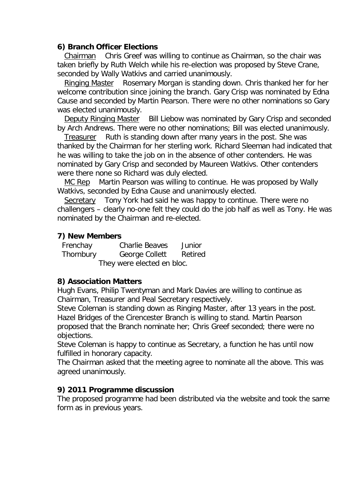#### **6) Branch Officer Elections**

 Chairman Chris Greef was willing to continue as Chairman, so the chair was taken briefly by Ruth Welch while his re-election was proposed by Steve Crane, seconded by Wally Watkivs and carried unanimously.

 Ringing Master Rosemary Morgan is standing down. Chris thanked her for her welcome contribution since joining the branch. Gary Crisp was nominated by Edna Cause and seconded by Martin Pearson. There were no other nominations so Gary was elected unanimously.

 Deputy Ringing Master Bill Liebow was nominated by Gary Crisp and seconded by Arch Andrews. There were no other nominations; Bill was elected unanimously.

 Treasurer Ruth is standing down after many years in the post. She was thanked by the Chairman for her sterling work. Richard Sleeman had indicated that he was willing to take the job on in the absence of other contenders. He was nominated by Gary Crisp and seconded by Maureen Watkivs. Other contenders were there none so Richard was duly elected.

 MC Rep Martin Pearson was willing to continue. He was proposed by Wally Watkivs, seconded by Edna Cause and unanimously elected.

 Secretary Tony York had said he was happy to continue. There were no challengers – clearly no-one felt they could do the job half as well as Tony. He was nominated by the Chairman and re-elected.

### **7) New Members**

 Frenchay Charlie Beaves Junior Thornbury George Collett Retired They were elected en bloc.

### **8) Association Matters**

Hugh Evans, Philip Twentyman and Mark Davies are willing to continue as Chairman, Treasurer and Peal Secretary respectively.

Steve Coleman is standing down as Ringing Master, after 13 years in the post. Hazel Bridges of the Cirencester Branch is willing to stand. Martin Pearson proposed that the Branch nominate her; Chris Greef seconded; there were no objections.

Steve Coleman is happy to continue as Secretary, a function he has until now fulfilled in honorary capacity.

The Chairman asked that the meeting agree to nominate all the above. This was agreed unanimously.

### **9) 2011 Programme discussion**

The proposed programme had been distributed via the website and took the same form as in previous years.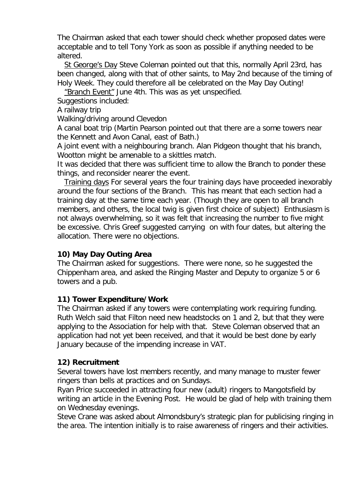The Chairman asked that each tower should check whether proposed dates were acceptable and to tell Tony York as soon as possible if anything needed to be altered.

 St George's Day Steve Coleman pointed out that this, normally April 23rd, has been changed, along with that of other saints, to May 2nd because of the timing of Holy Week. They could therefore all be celebrated on the May Day Outing!

"Branch Event" June 4th. This was as yet unspecified.

Suggestions included:

A railway trip

Walking/driving around Clevedon

A canal boat trip (Martin Pearson pointed out that there are a some towers near the Kennett and Avon Canal, east of Bath.)

A joint event with a neighbouring branch. Alan Pidgeon thought that his branch, Wootton might be amenable to a skittles match.

It was decided that there was sufficient time to allow the Branch to ponder these things, and reconsider nearer the event.

 Training days For several years the four training days have proceeded inexorably around the four sections of the Branch. This has meant that each section had a training day at the same time each year. (Though they are open to all branch members, and others, the local twig is given first choice of subject) Enthusiasm is not always overwhelming, so it was felt that increasing the number to five might be excessive. Chris Greef suggested carrying on with four dates, but altering the allocation. There were no objections.

### **10) May Day Outing Area**

The Chairman asked for suggestions. There were none, so he suggested the Chippenham area, and asked the Ringing Master and Deputy to organize 5 or 6 towers and a pub.

### **11) Tower Expenditure/Work**

The Chairman asked if any towers were contemplating work requiring funding. Ruth Welch said that Filton need new headstocks on 1 and 2, but that they were applying to the Association for help with that. Steve Coleman observed that an application had not yet been received, and that it would be best done by early January because of the impending increase in VAT.

### **12) Recruitment**

Several towers have lost members recently, and many manage to muster fewer ringers than bells at practices and on Sundays.

Ryan Price succeeded in attracting four new (adult) ringers to Mangotsfield by writing an article in the Evening Post. He would be glad of help with training them on Wednesday evenings.

Steve Crane was asked about Almondsbury's strategic plan for publicising ringing in the area. The intention initially is to raise awareness of ringers and their activities.